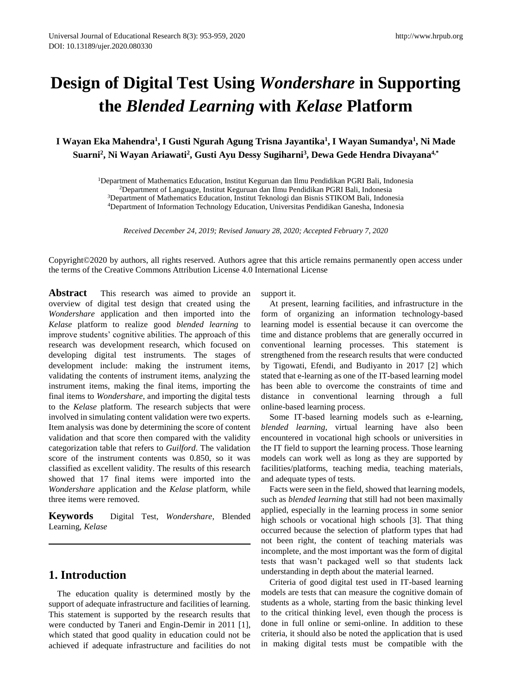# **Design of Digital Test Using** *Wondershare* **in Supporting the** *Blended Learning* **with** *Kelase* **Platform**

**I Wayan Eka Mahendra<sup>1</sup> , I Gusti Ngurah Agung Trisna Jayantika<sup>1</sup> , I Wayan Sumandya<sup>1</sup> , Ni Made Suarni<sup>2</sup> , Ni Wayan Ariawati<sup>2</sup> , Gusti Ayu Dessy Sugiharni<sup>3</sup> , Dewa Gede Hendra Divayana4,\***

> Department of Mathematics Education, Institut Keguruan dan Ilmu Pendidikan PGRI Bali, Indonesia Department of Language, Institut Keguruan dan Ilmu Pendidikan PGRI Bali, Indonesia Department of Mathematics Education, Institut Teknologi dan Bisnis STIKOM Bali, Indonesia Department of Information Technology Education, Universitas Pendidikan Ganesha, Indonesia

*Received December 24, 2019; Revised January 28, 2020; Accepted February 7, 2020*

Copyright©2020 by authors, all rights reserved. Authors agree that this article remains permanently open access under the terms of the Creative Commons Attribution License 4.0 International License

Abstract This research was aimed to provide an overview of digital test design that created using the *Wondershare* application and then imported into the *Kelase* platform to realize good *blended learning* to improve students' cognitive abilities. The approach of this research was development research, which focused on developing digital test instruments. The stages of development include: making the instrument items, validating the contents of instrument items, analyzing the instrument items, making the final items, importing the final items to *Wondershare*, and importing the digital tests to the *Kelase* platform. The research subjects that were involved in simulating content validation were two experts. Item analysis was done by determining the score of content validation and that score then compared with the validity categorization table that refers to *Guilford*. The validation score of the instrument contents was 0.850, so it was classified as excellent validity. The results of this research showed that 17 final items were imported into the *Wondershare* application and the *Kelase* platform, while three items were removed.

**Keywords** Digital Test, *Wondershare*, Blended Learning, *Kelase*

# **1. Introduction**

The education quality is determined mostly by the support of adequate infrastructure and facilities of learning. This statement is supported by the research results that were conducted by Taneri and Engin-Demir in 2011 [1], which stated that good quality in education could not be achieved if adequate infrastructure and facilities do not

support it.

At present, learning facilities, and infrastructure in the form of organizing an information technology-based learning model is essential because it can overcome the time and distance problems that are generally occurred in conventional learning processes. This statement is strengthened from the research results that were conducted by Tigowati, Efendi, and Budiyanto in 2017 [2] which stated that e-learning as one of the IT-based learning model has been able to overcome the constraints of time and distance in conventional learning through a full online-based learning process.

Some IT-based learning models such as e-learning, *blended learning*, virtual learning have also been encountered in vocational high schools or universities in the IT field to support the learning process. Those learning models can work well as long as they are supported by facilities/platforms, teaching media, teaching materials, and adequate types of tests.

Facts were seen in the field, showed that learning models, such as *blended learning* that still had not been maximally applied, especially in the learning process in some senior high schools or vocational high schools [3]. That thing occurred because the selection of platform types that had not been right, the content of teaching materials was incomplete, and the most important was the form of digital tests that wasn't packaged well so that students lack understanding in depth about the material learned.

Criteria of good digital test used in IT-based learning models are tests that can measure the cognitive domain of students as a whole, starting from the basic thinking level to the critical thinking level, even though the process is done in full online or semi-online. In addition to these criteria, it should also be noted the application that is used in making digital tests must be compatible with the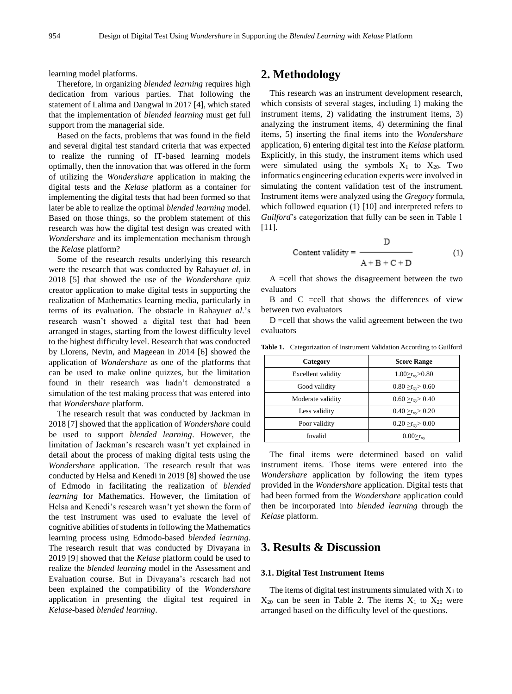learning model platforms.

Therefore, in organizing *blended learning* requires high dedication from various parties. That following the statement of Lalima and Dangwal in 2017 [4], which stated that the implementation of *blended learning* must get full support from the managerial side.

Based on the facts, problems that was found in the field and several digital test standard criteria that was expected to realize the running of IT-based learning models optimally, then the innovation that was offered in the form of utilizing the *Wondershare* application in making the digital tests and the *Kelase* platform as a container for implementing the digital tests that had been formed so that later be able to realize the optimal *blended learning* model. Based on those things, so the problem statement of this research was how the digital test design was created with *Wondershare* and its implementation mechanism through the *Kelase* platform?

Some of the research results underlying this research were the research that was conducted by Rahayu*et al*. in 2018 [5] that showed the use of the *Wondershare* quiz creator application to make digital tests in supporting the realization of Mathematics learning media, particularly in terms of its evaluation. The obstacle in Rahayu*et al*.'s research wasn't showed a digital test that had been arranged in stages, starting from the lowest difficulty level to the highest difficulty level. Research that was conducted by Llorens, Nevin, and Mageean in 2014 [6] showed the application of *Wondershare* as one of the platforms that can be used to make online quizzes, but the limitation found in their research was hadn't demonstrated a simulation of the test making process that was entered into that *Wondershare* platform.

The research result that was conducted by Jackman in 2018 [7] showed that the application of *Wondershare* could be used to support *blended learning*. However, the limitation of Jackman's research wasn't yet explained in detail about the process of making digital tests using the *Wondershare* application. The research result that was conducted by Helsa and Kenedi in 2019 [8] showed the use of Edmodo in facilitating the realization of *blended learning* for Mathematics. However, the limitation of Helsa and Kenedi's research wasn't yet shown the form of the test instrument was used to evaluate the level of cognitive abilities of students in following the Mathematics learning process using Edmodo-based *blended learning*. The research result that was conducted by Divayana in 2019 [9] showed that the *Kelase* platform could be used to realize the *blended learning* model in the Assessment and Evaluation course. But in Divayana's research had not been explained the compatibility of the *Wondershare* application in presenting the digital test required in *Kelase*-based *blended learning*.

# **2. Methodology**

This research was an instrument development research, which consists of several stages, including 1) making the instrument items, 2) validating the instrument items, 3) analyzing the instrument items, 4) determining the final items, 5) inserting the final items into the *Wondershare* application, 6) entering digital test into the *Kelase* platform. Explicitly, in this study, the instrument items which used were simulated using the symbols  $X_1$  to  $X_{20}$ . Two informatics engineering education experts were involved in simulating the content validation test of the instrument. Instrument items were analyzed using the *Gregory* formula, which followed equation (1) [10] and interpreted refers to *Guilford*'s categorization that fully can be seen in Table 1 [11].

$$
Content validity = \frac{D}{A + B + C + D}
$$
 (1)

A =cell that shows the disagreement between the two evaluators

B and C =cell that shows the differences of view between two evaluators

D =cell that shows the valid agreement between the two evaluators

| Category           | <b>Score Range</b>            |
|--------------------|-------------------------------|
| Excellent validity | $1.00 \leq r_{xy} > 0.80$     |
| Good validity      | $0.80 > r_{\rm xy} > 0.60$    |
| Moderate validity  | $0.60 \geq r_{xy} > 0.40$     |
| Less validity      | $0.40 > r_{\rm xy} > 0.20$    |
| Poor validity      | $0.20 \geq r_{\rm xy} > 0.00$ |
| Invalid            | $0.00 > r_{xy}$               |

Table 1. Categorization of Instrument Validation According to Guilford

The final items were determined based on valid instrument items. Those items were entered into the *Wondershare* application by following the item types provided in the *Wondershare* application. Digital tests that had been formed from the *Wondershare* application could then be incorporated into *blended learning* through the *Kelase* platform.

# **3. Results & Discussion**

#### **3.1. Digital Test Instrument Items**

The items of digital test instruments simulated with  $X_1$  to  $X_{20}$  can be seen in Table 2. The items  $X_1$  to  $X_{20}$  were arranged based on the difficulty level of the questions.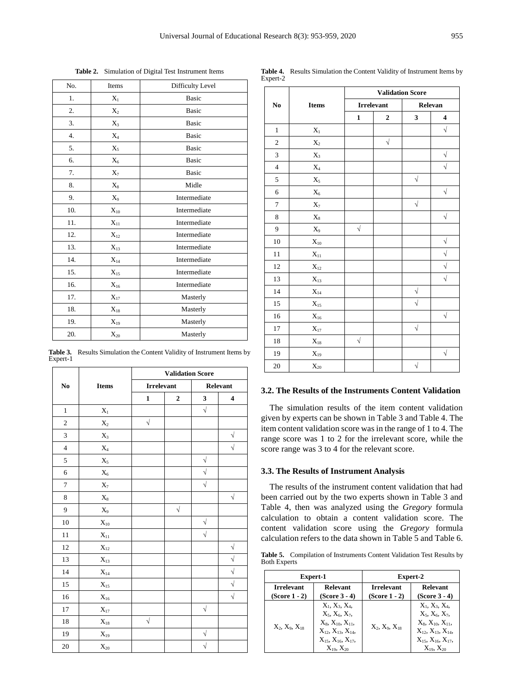| No.      | Items    | Difficulty Level |                | <b>Items</b> | <b>Validation Score</b>      |           |            |                |
|----------|----------|------------------|----------------|--------------|------------------------------|-----------|------------|----------------|
| 1.       | $X_1$    | Basic            | N <sub>0</sub> |              | <b>Irrelevant</b><br>Relevan |           |            |                |
| 2.       | $X_2$    | <b>Basic</b>     |                |              | 1                            | 2         | 3          | 4              |
| 3.       | $X_3$    | <b>Basic</b>     | 1              | $X_1$        |                              |           |            | $\sqrt{}$      |
| 4.       | $X_4$    | <b>Basic</b>     | 2              |              |                              | $\sqrt{}$ |            |                |
| 5.       | $X_5$    | Basic            |                | $X_2$        |                              |           |            |                |
| 6.       | $X_6$    | <b>Basic</b>     | 3              | $X_3$        |                              |           |            | $\sqrt{}$      |
| 7.       | $X_7$    | <b>Basic</b>     | $\overline{4}$ | $X_4$        |                              |           |            | $\sqrt{}$      |
| 8.       | $X_8$    | Midle            | 5              | $X_5$        |                              |           | $\sqrt{ }$ |                |
| 9.       | $X_9$    | Intermediate     | 6              | $X_6$        |                              |           |            | $\sqrt{ }$     |
| $10. \,$ | $X_{10}$ | Intermediate     | 7              | $X_7$        |                              |           | $\sqrt{ }$ |                |
| $11. \,$ | $X_{11}$ | Intermediate     | 8              | $X_8$        |                              |           |            | $\sqrt{}$      |
| 12.      | $X_{12}$ | Intermediate     | 9              | $X_9$        | $\sqrt{}$                    |           |            |                |
| 13.      |          | Intermediate     | 10             | $X_{10}$     |                              |           |            | V              |
|          | $X_{13}$ |                  | 11             | $X_{11}$     |                              |           |            | $\sqrt{}$      |
| 14.      | $X_{14}$ | Intermediate     | 12             | $X_{12}$     |                              |           |            | V              |
| 15.      | $X_{15}$ | Intermediate     |                |              |                              |           |            | $\overline{1}$ |

**Table 3.** Results Simulation the Content Validity of Instrument Items by Expert-1

16.  $X_{16}$  Intermediate 17.  $X_{17}$  Masterly 18.  $X_{18}$  Masterly 19.  $X_{19}$  Masterly 20.  $X_{20}$  Masterly

|                          | <b>Items</b>      | <b>Validation Score</b> |                |           |                         |  |
|--------------------------|-------------------|-------------------------|----------------|-----------|-------------------------|--|
| $\mathbf{N}\mathbf{o}$   |                   | <b>Irrelevant</b>       |                | Relevant  |                         |  |
|                          |                   | $\mathbf{1}$            | $\overline{2}$ | 3         | $\overline{\mathbf{4}}$ |  |
| $\,1$                    | $\mathbf{X}_1$    |                         |                | $\sqrt{}$ |                         |  |
| $\sqrt{2}$               | $\mathbf{X}_2$    | $\sqrt{}$               |                |           |                         |  |
| $\mathfrak{Z}$           | $X_3$             |                         |                |           | $\sqrt{}$               |  |
| $\overline{\mathcal{L}}$ | $\rm X_4$         |                         |                |           | $\sqrt{}$               |  |
| $\mathfrak s$            | $\mathbf{X}_5$    |                         |                | $\sqrt{}$ |                         |  |
| $\sqrt{6}$               | $X_6$             |                         |                | $\sqrt{}$ |                         |  |
| $\tau$                   | $\mathbf{X}_7$    |                         |                | $\sqrt{}$ |                         |  |
| $\,8\,$                  | $\rm X_8$         |                         |                |           | $\sqrt{}$               |  |
| 9                        | $X_9$             |                         | $\sqrt{}$      |           |                         |  |
| $10\,$                   | $\mathbf{X}_{10}$ |                         |                | $\sqrt{}$ |                         |  |
| 11                       | $\mathbf{X}_{11}$ |                         |                | $\sqrt{}$ |                         |  |
| 12                       | $\mathbf{X}_{12}$ |                         |                |           | $\sqrt{}$               |  |
| 13                       | $\mathbf{X}_{13}$ |                         |                |           | $\sqrt{}$               |  |
| 14                       | $\mathbf{X}_{14}$ |                         |                |           | $\sqrt{}$               |  |
| 15                       | $\mathbf{X}_{15}$ |                         |                |           | $\sqrt{}$               |  |
| 16                       | $\mathbf{X}_{16}$ |                         |                |           | $\sqrt{}$               |  |
| 17                       | $\mathbf{X}_{17}$ |                         |                | $\sqrt{}$ |                         |  |
| 18                       | $\mathbf{X}_{18}$ | $\sqrt{}$               |                |           |                         |  |
| 19                       | $X_{19}$          |                         |                | $\sqrt{}$ |                         |  |
| $20\,$                   | $\mathbf{X}_{20}$ |                         |                | $\sqrt{}$ |                         |  |

|                        | <b>Items</b>      |              | <b>Validation Score</b> |                      |                         |  |  |
|------------------------|-------------------|--------------|-------------------------|----------------------|-------------------------|--|--|
| $\mathbf{N}\mathbf{0}$ |                   |              | <b>Irrelevant</b>       |                      | Relevan                 |  |  |
|                        |                   | $\mathbf{1}$ | $\boldsymbol{2}$        | 3                    | $\overline{\mathbf{4}}$ |  |  |
| $\mathbf{1}$           | $\mathbf{X}_1$    |              |                         |                      | $\sqrt{}$               |  |  |
| $\mathfrak{2}$         | $\mathbf{X}_2$    |              | $\sqrt{}$               |                      |                         |  |  |
| 3                      | $\mathbf{X}_3$    |              |                         |                      | $\sqrt{}$               |  |  |
| $\overline{4}$         | $\mathbf{X}_4$    |              |                         |                      | $\sqrt{}$               |  |  |
| 5                      | $\mathbf{X}_5$    |              |                         | $\sqrt{}$            |                         |  |  |
| 6                      | $\mathbf{X}_6$    |              |                         |                      | $\sqrt{\phantom{a}}$    |  |  |
| $\tau$                 | $\mathbf{X}_7$    |              |                         | $\sqrt{}$            |                         |  |  |
| $\,8\,$                | $\mathbf{X}_8$    |              |                         |                      | $\sqrt{}$               |  |  |
| 9                      | $X_9$             | $\sqrt{}$    |                         |                      |                         |  |  |
| 10                     | $\mathbf{X}_{10}$ |              |                         |                      | $\sqrt{}$               |  |  |
| 11                     | $\mathbf{X}_{11}$ |              |                         |                      | $\sqrt{2}$              |  |  |
| 12                     | $\mathbf{X}_{12}$ |              |                         |                      | $\sqrt{}$               |  |  |
| 13                     | $\mathbf{X}_{13}$ |              |                         |                      | $\sqrt{}$               |  |  |
| 14                     | $\rm X_{14}$      |              |                         | $\sqrt{}$            |                         |  |  |
| 15                     | $\mathbf{X}_{15}$ |              |                         | $\sqrt{}$            |                         |  |  |
| 16                     | $\rm X_{16}$      |              |                         |                      | $\sqrt{}$               |  |  |
| 17                     | $\mathbf{X}_{17}$ |              |                         | $\sqrt{}$            |                         |  |  |
| 18                     | $\mathbf{X}_{18}$ | $\sqrt{}$    |                         |                      |                         |  |  |
| 19                     | $\mathbf{X}_{19}$ |              |                         |                      | $\sqrt{}$               |  |  |
| 20                     | $\mathbf{X}_{20}$ |              |                         | $\sqrt{\phantom{a}}$ |                         |  |  |

## **3.2. The Results of the Instruments Content Validation**

The simulation results of the item content validation given by experts can be shown in Table 3 and Table 4. The item content validation score was in the range of 1 to 4. The range score was 1 to 2 for the irrelevant score, while the score range was 3 to 4 for the relevant score.

#### **3.3. The Results of Instrument Analysis**

The results of the instrument content validation that had been carried out by the two experts shown in Table 3 and Table 4, then was analyzed using the *Gregory* formula calculation to obtain a content validation score. The content validation score using the *Gregory* formula calculation refers to the data shown in Table 5 and Table 6.

**Table 5.** Compilation of Instruments Content Validation Test Results by Both Experts

|                                    | Expert-1                                                                                                                                                | Expert-2                             |                                                                                                                                                              |  |
|------------------------------------|---------------------------------------------------------------------------------------------------------------------------------------------------------|--------------------------------------|--------------------------------------------------------------------------------------------------------------------------------------------------------------|--|
| <b>Irrelevant</b><br>(Score 1 - 2) | <b>Relevant</b><br>(Score 3 - 4)                                                                                                                        | <b>Irrelevant</b><br>$(Score 1 - 2)$ | <b>Relevant</b><br>$(Score 3 - 4)$                                                                                                                           |  |
| $X_2, X_9, X_{18}$                 | $X_1, X_3, X_4,$<br>$X_5, X_6, X_7,$<br>$X_8, X_{10}, X_{11}$<br>$X_1$ , $X_{13}$ , $X_{14}$<br>$X_{15}$ , $X_{16}$ , $X_{17}$ ,<br>$X_{19}$ , $X_{20}$ | $X_2, X_9, X_{18}$                   | $X_1, X_3, X_4,$<br>$X_5, X_6, X_7,$<br>$X_8, X_{10}, X_{11}$<br>$X_{12}$ , $X_{13}$ , $X_{14}$ ,<br>$X_{15}$ , $X_{16}$ , $X_{17}$ ,<br>$X_{19}$ , $X_{20}$ |  |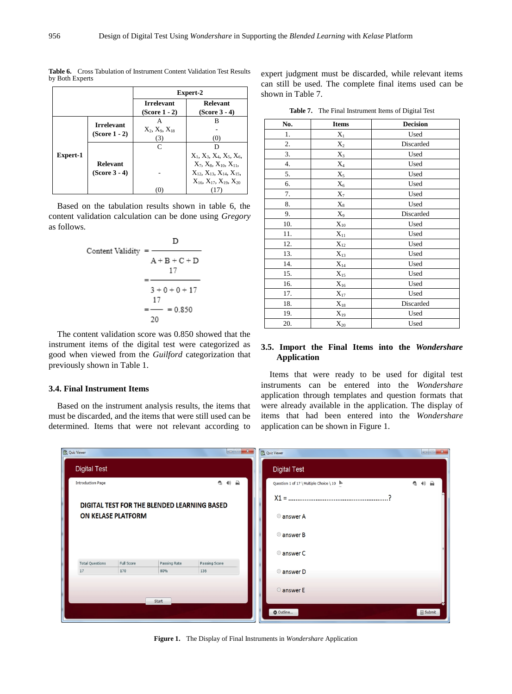| <b>Irrelevant</b> | <b>Relevant</b>                                                        |
|-------------------|------------------------------------------------------------------------|
|                   | (Score 3 - 4)                                                          |
|                   | в                                                                      |
| (3)               | (0)                                                                    |
| $\mathsf{C}$      | D                                                                      |
|                   | $X_1, X_3, X_4, X_5, X_6$                                              |
|                   | $X_7, X_8, X_{10}, X_{11}$<br>$X_1$ , $X_{13}$ , $X_{14}$ , $X_{15}$ , |
|                   | $X_{16}$ , $X_{17}$ , $X_{19}$ , $X_{20}$                              |
| $(Score 3 - 4)$   | $(Score 1 - 2)$<br>$X_2, X_9, X_{18}$<br>$(Score 1 - 2)$<br>(0)        |

**Table 6.** Cross Tabulation of Instrument Content Validation Test Results by Both Experts

Based on the tabulation results shown in table 6, the content validation calculation can be done using *Gregory* as follows.

$$
\begin{aligned}\n\text{Content Validity} &= \frac{D}{A + B + C + D} \\
&= \frac{17}{3 + 0 + 0 + 17} \\
&= \frac{17}{20} \\
&= 0.850\n\end{aligned}
$$

The content validation score was 0.850 showed that the instrument items of the digital test were categorized as good when viewed from the *Guilford* categorization that previously shown in Table 1.

#### **3.4. Final Instrument Items**

Based on the instrument analysis results, the items that must be discarded, and the items that were still used can be determined. Items that were not relevant according to

expert judgment must be discarded, while relevant items can still be used. The complete final items used can be shown in Table 7.

**Table 7.** The Final Instrument Items of Digital Test

| No. | <b>Items</b>      | <b>Decision</b> |
|-----|-------------------|-----------------|
| 1.  | $\mathbf{X}_1$    | Used            |
| 2.  | $X_2$             | Discarded       |
| 3.  | $X_3$             | Used            |
| 4.  | $X_4$             | Used            |
| 5.  | $X_5$             | Used            |
| 6.  | $X_6$             | Used            |
| 7.  | $X_7$             | Used            |
| 8.  | $X_8$             | Used            |
| 9.  | $X_9$             | Discarded       |
| 10. | $\mathbf{X}_{10}$ | Used            |
| 11. | $\mathbf{X}_{11}$ | Used            |
| 12. | $\mathbf{X}_{12}$ | Used            |
| 13. | $X_{13}$          | Used            |
| 14. | $\mathbf{X}_{14}$ | Used            |
| 15. | $\mathbf{X}_{15}$ | Used            |
| 16. | $X_{16}$          | Used            |
| 17. | $\mathbf{X}_{17}$ | Used            |
| 18. | $\mathbf{X}_{18}$ | Discarded       |
| 19. | $\mathbf{X}_{19}$ | Used            |
| 20. | $X_{20}$          | Used            |

### **3.5. Import the Final Items into the** *Wondershare* **Application**

Items that were ready to be used for digital test instruments can be entered into the *Wondershare* application through templates and question formats that were already available in the application. The display of items that had been entered into the *Wondershare* application can be shown in Figure 1.



**Figure 1.** The Display of Final Instruments in *Wondershare* Application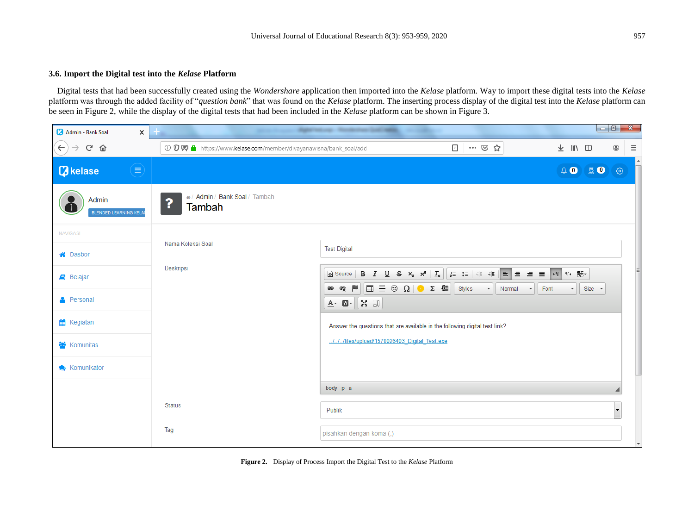## **3.6. Import the Digital test into the** *Kelase* **Platform**

Digital tests that had been successfully created using the *Wondershare* application then imported into the *Kelase* platform. Way to import these digital tests into the *Kelase* platform was through the added facility of "*question bank*" that was found on the *Kelase* platform. The inserting process display of the digital test into the *Kelase* platform can be seen in Figure 2, while the display of the digital tests that had been included in the *Kelase* platform can be shown in Figure 3.

| Admin - Bank Soal<br>$\times$          |                                                                 | $\overline{\phantom{a}}$ $\overline{\phantom{a}}$<br>$\mathbf{x}$                                                                                                                                                                                                                                                                                                                                       |
|----------------------------------------|-----------------------------------------------------------------|---------------------------------------------------------------------------------------------------------------------------------------------------------------------------------------------------------------------------------------------------------------------------------------------------------------------------------------------------------------------------------------------------------|
| $G$ $\hat{\mathbf{U}}$<br>$\leftarrow$ | ① 贝 A https://www.kelase.com/member/divayanawisna/bank_soal/add | ▣<br>… ⊙ ☆<br>★ Ⅲ 图<br>◉<br>$\equiv$                                                                                                                                                                                                                                                                                                                                                                    |
| ⋹<br><b><i>Q</i></b> kelase            |                                                                 | $\overline{\phantom{a}}$<br>$\begin{picture}(20,20) \put(0,0){\line(1,0){10}} \put(15,0){\line(1,0){10}} \put(15,0){\line(1,0){10}} \put(15,0){\line(1,0){10}} \put(15,0){\line(1,0){10}} \put(15,0){\line(1,0){10}} \put(15,0){\line(1,0){10}} \put(15,0){\line(1,0){10}} \put(15,0){\line(1,0){10}} \put(15,0){\line(1,0){10}} \put(15,0){\line(1,0){10}} \put(15,0){\line(1$<br>30<br>$\circledcirc$ |
| Admin<br>BLENDED LEARNING KELA         | # / Admin / Bank Soal / Tambah<br>?<br>Tambah                   |                                                                                                                                                                                                                                                                                                                                                                                                         |
| <b>NAVIGASI</b>                        |                                                                 |                                                                                                                                                                                                                                                                                                                                                                                                         |
| <b>谷</b> Dasbor                        | Nama Koleksi Soal                                               | <b>Test Digital</b>                                                                                                                                                                                                                                                                                                                                                                                     |
| <b>B</b> Belajar                       | Deskripsi                                                       | ▌▆▏ <b>▅▕▗▏▊▏▜▏</b> ▐▚▕▓ <sub>▔</sub><br>B $I \cup S \times_z x^2  I_x $<br>Source<br>$\equiv$ $\circ$ $\Omega$ $\sim$ $\omega$<br>P<br>$\blacksquare$<br>Styles<br>ę<br>Normal<br>$\mathbf{F}$ Font<br>Size -<br>$\circledast$<br>$\scriptstyle\star$<br>$\scriptstyle\star$                                                                                                                           |
| <b>A</b> Personal                      |                                                                 | $\mathfrak{L}$ $\Box$<br>$A - B -$                                                                                                                                                                                                                                                                                                                                                                      |
| <b>M</b> Kegiatan                      |                                                                 | Answer the questions that are available in the following digital test link?                                                                                                                                                                                                                                                                                                                             |
| <b>Komunitas</b>                       |                                                                 | ./././files/upload/1570026403_Digital_Test.exe                                                                                                                                                                                                                                                                                                                                                          |
| <b>Xomunikator</b>                     |                                                                 |                                                                                                                                                                                                                                                                                                                                                                                                         |
|                                        |                                                                 | body p a                                                                                                                                                                                                                                                                                                                                                                                                |
|                                        | <b>Status</b>                                                   | Publik<br>$\blacktriangledown$                                                                                                                                                                                                                                                                                                                                                                          |
|                                        | Tag                                                             | pisahkan dengan koma (,)<br>$\overline{\phantom{a}}$                                                                                                                                                                                                                                                                                                                                                    |

**Figure 2.** Display of Process Import the Digital Test to the *Kelase* Platform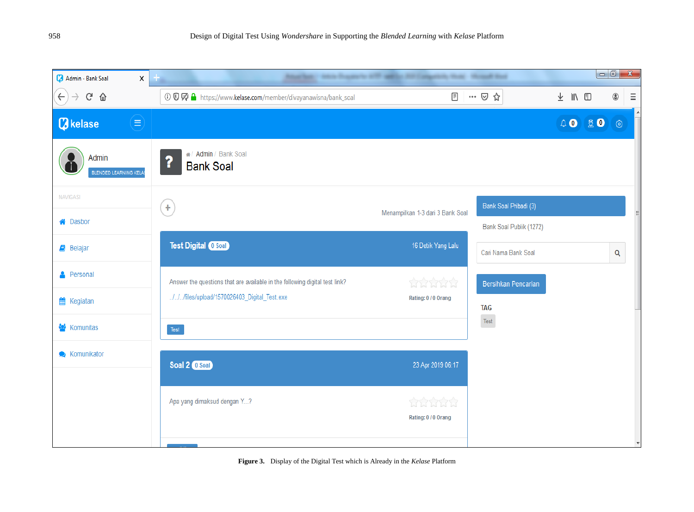

**Figure 3.** Display of the Digital Test which is Already in the *Kelase* Platform